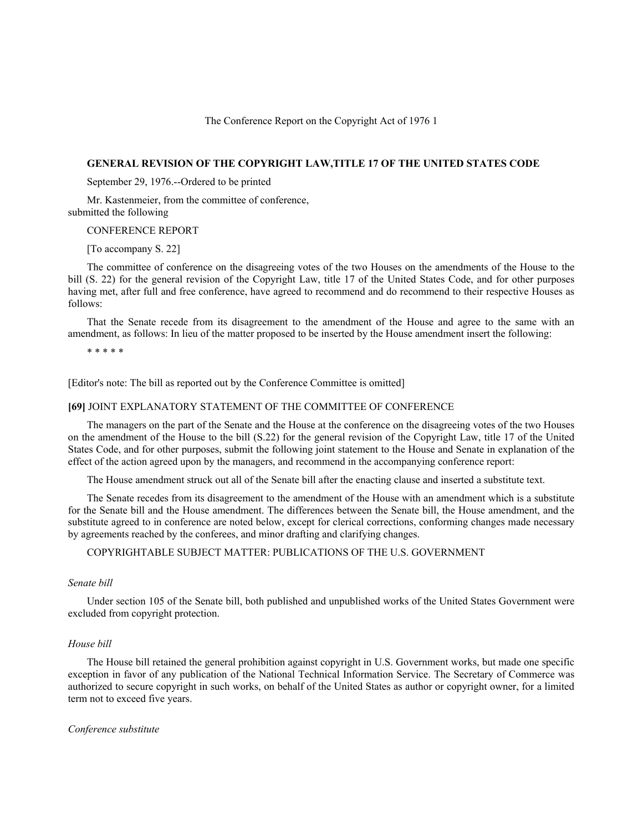## The Conference Report on the Copyright Act of 1976 1

# **GENERAL REVISION OF THE COPYRIGHT LAW,TITLE 17 OF THE UNITED STATES CODE**

September 29, 1976.--Ordered to be printed

Mr. Kastenmeier, from the committee of conference, submitted the following

## CONFERENCE REPORT

[To accompany S. 22]

The committee of conference on the disagreeing votes of the two Houses on the amendments of the House to the bill (S. 22) for the general revision of the Copyright Law, title 17 of the United States Code, and for other purposes having met, after full and free conference, have agreed to recommend and do recommend to their respective Houses as follows:

That the Senate recede from its disagreement to the amendment of the House and agree to the same with an amendment, as follows: In lieu of the matter proposed to be inserted by the House amendment insert the following:

\* \* \* \* \*

[Editor's note: The bill as reported out by the Conference Committee is omitted]

## **[69]** JOINT EXPLANATORY STATEMENT OF THE COMMITTEE OF CONFERENCE

The managers on the part of the Senate and the House at the conference on the disagreeing votes of the two Houses on the amendment of the House to the bill (S.22) for the general revision of the Copyright Law, title 17 of the United States Code, and for other purposes, submit the following joint statement to the House and Senate in explanation of the effect of the action agreed upon by the managers, and recommend in the accompanying conference report:

The House amendment struck out all of the Senate bill after the enacting clause and inserted a substitute text.

The Senate recedes from its disagreement to the amendment of the House with an amendment which is a substitute for the Senate bill and the House amendment. The differences between the Senate bill, the House amendment, and the substitute agreed to in conference are noted below, except for clerical corrections, conforming changes made necessary by agreements reached by the conferees, and minor drafting and clarifying changes.

# COPYRIGHTABLE SUBJECT MATTER: PUBLICATIONS OF THE U.S. GOVERNMENT

# *Senate bill*

Under section 105 of the Senate bill, both published and unpublished works of the United States Government were excluded from copyright protection.

## *House bill*

The House bill retained the general prohibition against copyright in U.S. Government works, but made one specific exception in favor of any publication of the National Technical Information Service. The Secretary of Commerce was authorized to secure copyright in such works, on behalf of the United States as author or copyright owner, for a limited term not to exceed five years.

#### *Conference substitute*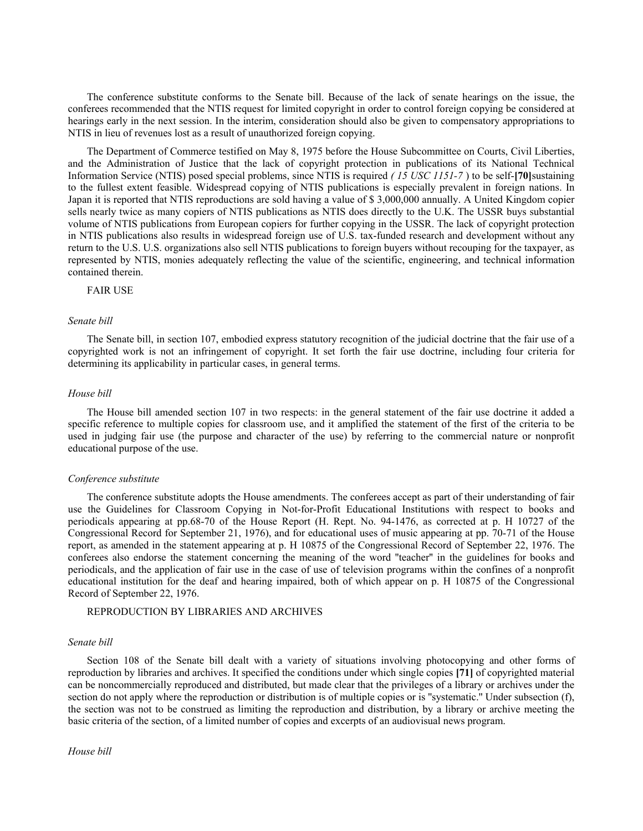The conference substitute conforms to the Senate bill. Because of the lack of senate hearings on the issue, the conferees recommended that the NTIS request for limited copyright in order to control foreign copying be considered at hearings early in the next session. In the interim, consideration should also be given to compensatory appropriations to NTIS in lieu of revenues lost as a result of unauthorized foreign copying.

The Department of Commerce testified on May 8, 1975 before the House Subcommittee on Courts, Civil Liberties, and the Administration of Justice that the lack of copyright protection in publications of its National Technical Information Service (NTIS) posed special problems, since NTIS is required *( 15 USC 1151-7* ) to be self-**[70]**sustaining to the fullest extent feasible. Widespread copying of NTIS publications is especially prevalent in foreign nations. In Japan it is reported that NTIS reproductions are sold having a value of \$ 3,000,000 annually. A United Kingdom copier sells nearly twice as many copiers of NTIS publications as NTIS does directly to the U.K. The USSR buys substantial volume of NTIS publications from European copiers for further copying in the USSR. The lack of copyright protection in NTIS publications also results in widespread foreign use of U.S. tax-funded research and development without any return to the U.S. U.S. organizations also sell NTIS publications to foreign buyers without recouping for the taxpayer, as represented by NTIS, monies adequately reflecting the value of the scientific, engineering, and technical information contained therein.

FAIR USE

#### *Senate bill*

The Senate bill, in section 107, embodied express statutory recognition of the judicial doctrine that the fair use of a copyrighted work is not an infringement of copyright. It set forth the fair use doctrine, including four criteria for determining its applicability in particular cases, in general terms.

# *House bill*

The House bill amended section 107 in two respects: in the general statement of the fair use doctrine it added a specific reference to multiple copies for classroom use, and it amplified the statement of the first of the criteria to be used in judging fair use (the purpose and character of the use) by referring to the commercial nature or nonprofit educational purpose of the use.

## *Conference substitute*

The conference substitute adopts the House amendments. The conferees accept as part of their understanding of fair use the Guidelines for Classroom Copying in Not-for-Profit Educational Institutions with respect to books and periodicals appearing at pp.68-70 of the House Report (H. Rept. No. 94-1476, as corrected at p. H 10727 of the Congressional Record for September 21, 1976), and for educational uses of music appearing at pp. 70-71 of the House report, as amended in the statement appearing at p. H 10875 of the Congressional Record of September 22, 1976. The conferees also endorse the statement concerning the meaning of the word ''teacher'' in the guidelines for books and periodicals, and the application of fair use in the case of use of television programs within the confines of a nonprofit educational institution for the deaf and hearing impaired, both of which appear on p. H 10875 of the Congressional Record of September 22, 1976.

# REPRODUCTION BY LIBRARIES AND ARCHIVES

#### *Senate bill*

Section 108 of the Senate bill dealt with a variety of situations involving photocopying and other forms of reproduction by libraries and archives. It specified the conditions under which single copies **[71]** of copyrighted material can be noncommercially reproduced and distributed, but made clear that the privileges of a library or archives under the section do not apply where the reproduction or distribution is of multiple copies or is "systematic." Under subsection (f), the section was not to be construed as limiting the reproduction and distribution, by a library or archive meeting the basic criteria of the section, of a limited number of copies and excerpts of an audiovisual news program.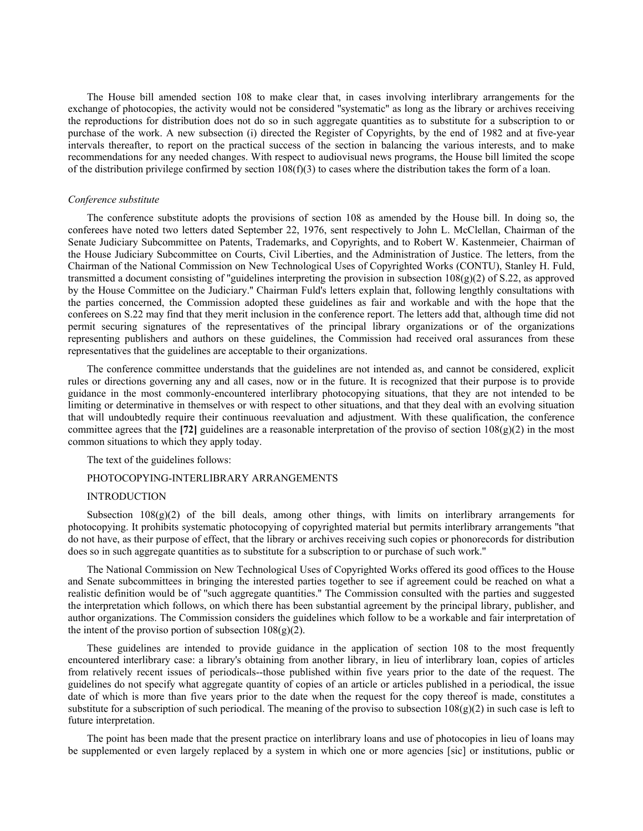The House bill amended section 108 to make clear that, in cases involving interlibrary arrangements for the exchange of photocopies, the activity would not be considered ''systematic'' as long as the library or archives receiving the reproductions for distribution does not do so in such aggregate quantities as to substitute for a subscription to or purchase of the work. A new subsection (i) directed the Register of Copyrights, by the end of 1982 and at five-year intervals thereafter, to report on the practical success of the section in balancing the various interests, and to make recommendations for any needed changes. With respect to audiovisual news programs, the House bill limited the scope of the distribution privilege confirmed by section  $108(f)(3)$  to cases where the distribution takes the form of a loan.

### *Conference substitute*

The conference substitute adopts the provisions of section 108 as amended by the House bill. In doing so, the conferees have noted two letters dated September 22, 1976, sent respectively to John L. McClellan, Chairman of the Senate Judiciary Subcommittee on Patents, Trademarks, and Copyrights, and to Robert W. Kastenmeier, Chairman of the House Judiciary Subcommittee on Courts, Civil Liberties, and the Administration of Justice. The letters, from the Chairman of the National Commission on New Technological Uses of Copyrighted Works (CONTU), Stanley H. Fuld, transmitted a document consisting of "guidelines interpreting the provision in subsection  $108(g)(2)$  of S.22, as approved by the House Committee on the Judiciary.'' Chairman Fuld's letters explain that, following lengthly consultations with the parties concerned, the Commission adopted these guidelines as fair and workable and with the hope that the conferees on S.22 may find that they merit inclusion in the conference report. The letters add that, although time did not permit securing signatures of the representatives of the principal library organizations or of the organizations representing publishers and authors on these guidelines, the Commission had received oral assurances from these representatives that the guidelines are acceptable to their organizations.

The conference committee understands that the guidelines are not intended as, and cannot be considered, explicit rules or directions governing any and all cases, now or in the future. It is recognized that their purpose is to provide guidance in the most commonly-encountered interlibrary photocopying situations, that they are not intended to be limiting or determinative in themselves or with respect to other situations, and that they deal with an evolving situation that will undoubtedly require their continuous reevaluation and adjustment. With these qualification, the conference committee agrees that the **[72]** guidelines are a reasonable interpretation of the proviso of section  $108(g)(2)$  in the most common situations to which they apply today.

The text of the guidelines follows:

# PHOTOCOPYING-INTERLIBRARY ARRANGEMENTS

## INTRODUCTION

Subsection  $108(g)(2)$  of the bill deals, among other things, with limits on interlibrary arrangements for photocopying. It prohibits systematic photocopying of copyrighted material but permits interlibrary arrangements ''that do not have, as their purpose of effect, that the library or archives receiving such copies or phonorecords for distribution does so in such aggregate quantities as to substitute for a subscription to or purchase of such work.''

The National Commission on New Technological Uses of Copyrighted Works offered its good offices to the House and Senate subcommittees in bringing the interested parties together to see if agreement could be reached on what a realistic definition would be of ''such aggregate quantities.'' The Commission consulted with the parties and suggested the interpretation which follows, on which there has been substantial agreement by the principal library, publisher, and author organizations. The Commission considers the guidelines which follow to be a workable and fair interpretation of the intent of the proviso portion of subsection  $108(g)(2)$ .

These guidelines are intended to provide guidance in the application of section 108 to the most frequently encountered interlibrary case: a library's obtaining from another library, in lieu of interlibrary loan, copies of articles from relatively recent issues of periodicals--those published within five years prior to the date of the request. The guidelines do not specify what aggregate quantity of copies of an article or articles published in a periodical, the issue date of which is more than five years prior to the date when the request for the copy thereof is made, constitutes a substitute for a subscription of such periodical. The meaning of the proviso to subsection  $108(g)(2)$  in such case is left to future interpretation.

The point has been made that the present practice on interlibrary loans and use of photocopies in lieu of loans may be supplemented or even largely replaced by a system in which one or more agencies [sic] or institutions, public or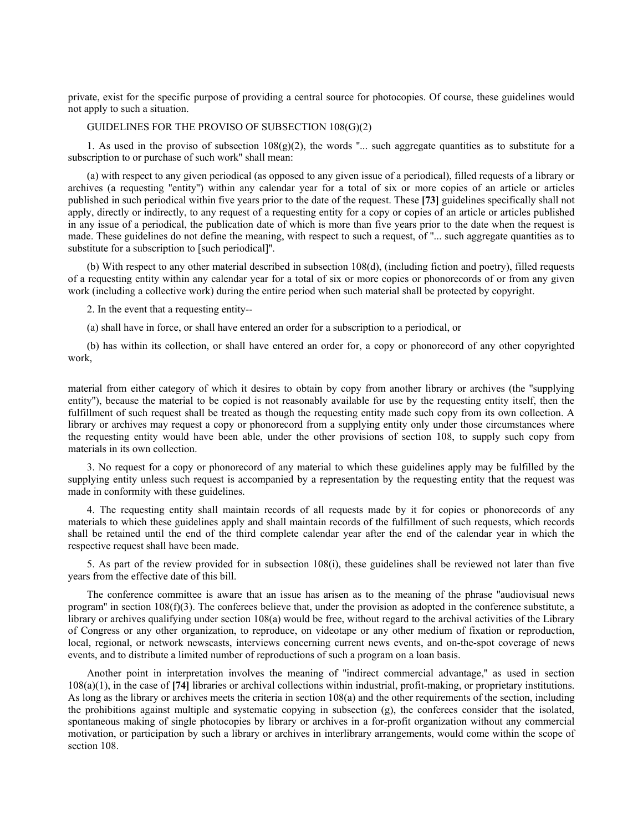private, exist for the specific purpose of providing a central source for photocopies. Of course, these guidelines would not apply to such a situation.

# GUIDELINES FOR THE PROVISO OF SUBSECTION 108(G)(2)

1. As used in the proviso of subsection  $108(g)(2)$ , the words "... such aggregate quantities as to substitute for a subscription to or purchase of such work'' shall mean:

(a) with respect to any given periodical (as opposed to any given issue of a periodical), filled requests of a library or archives (a requesting ''entity'') within any calendar year for a total of six or more copies of an article or articles published in such periodical within five years prior to the date of the request. These **[73]** guidelines specifically shall not apply, directly or indirectly, to any request of a requesting entity for a copy or copies of an article or articles published in any issue of a periodical, the publication date of which is more than five years prior to the date when the request is made. These guidelines do not define the meaning, with respect to such a request, of ''... such aggregate quantities as to substitute for a subscription to [such periodical]''.

(b) With respect to any other material described in subsection 108(d), (including fiction and poetry), filled requests of a requesting entity within any calendar year for a total of six or more copies or phonorecords of or from any given work (including a collective work) during the entire period when such material shall be protected by copyright.

2. In the event that a requesting entity--

(a) shall have in force, or shall have entered an order for a subscription to a periodical, or

(b) has within its collection, or shall have entered an order for, a copy or phonorecord of any other copyrighted work,

material from either category of which it desires to obtain by copy from another library or archives (the ''supplying entity''), because the material to be copied is not reasonably available for use by the requesting entity itself, then the fulfillment of such request shall be treated as though the requesting entity made such copy from its own collection. A library or archives may request a copy or phonorecord from a supplying entity only under those circumstances where the requesting entity would have been able, under the other provisions of section 108, to supply such copy from materials in its own collection.

3. No request for a copy or phonorecord of any material to which these guidelines apply may be fulfilled by the supplying entity unless such request is accompanied by a representation by the requesting entity that the request was made in conformity with these guidelines.

4. The requesting entity shall maintain records of all requests made by it for copies or phonorecords of any materials to which these guidelines apply and shall maintain records of the fulfillment of such requests, which records shall be retained until the end of the third complete calendar year after the end of the calendar year in which the respective request shall have been made.

5. As part of the review provided for in subsection 108(i), these guidelines shall be reviewed not later than five years from the effective date of this bill.

The conference committee is aware that an issue has arisen as to the meaning of the phrase ''audiovisual news program" in section  $108(f)(3)$ . The conferees believe that, under the provision as adopted in the conference substitute, a library or archives qualifying under section 108(a) would be free, without regard to the archival activities of the Library of Congress or any other organization, to reproduce, on videotape or any other medium of fixation or reproduction, local, regional, or network newscasts, interviews concerning current news events, and on-the-spot coverage of news events, and to distribute a limited number of reproductions of such a program on a loan basis.

Another point in interpretation involves the meaning of ''indirect commercial advantage,'' as used in section 108(a)(1), in the case of **[74]** libraries or archival collections within industrial, profit-making, or proprietary institutions. As long as the library or archives meets the criteria in section 108(a) and the other requirements of the section, including the prohibitions against multiple and systematic copying in subsection (g), the conferees consider that the isolated, spontaneous making of single photocopies by library or archives in a for-profit organization without any commercial motivation, or participation by such a library or archives in interlibrary arrangements, would come within the scope of section 108.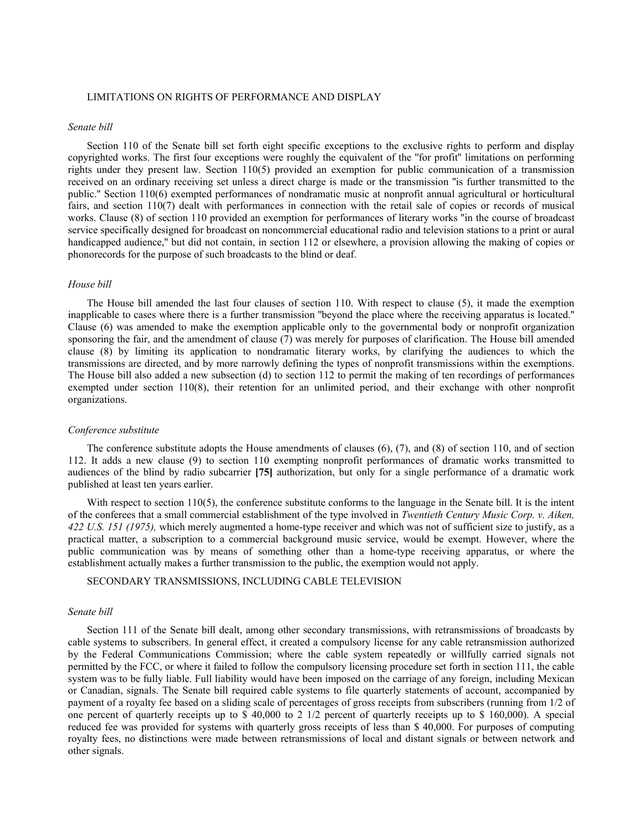## LIMITATIONS ON RIGHTS OF PERFORMANCE AND DISPLAY

# *Senate bill*

Section 110 of the Senate bill set forth eight specific exceptions to the exclusive rights to perform and display copyrighted works. The first four exceptions were roughly the equivalent of the ''for profit'' limitations on performing rights under they present law. Section 110(5) provided an exemption for public communication of a transmission received on an ordinary receiving set unless a direct charge is made or the transmission ''is further transmitted to the public.'' Section 110(6) exempted performances of nondramatic music at nonprofit annual agricultural or horticultural fairs, and section 110(7) dealt with performances in connection with the retail sale of copies or records of musical works. Clause (8) of section 110 provided an exemption for performances of literary works "in the course of broadcast service specifically designed for broadcast on noncommercial educational radio and television stations to a print or aural handicapped audience," but did not contain, in section 112 or elsewhere, a provision allowing the making of copies or phonorecords for the purpose of such broadcasts to the blind or deaf.

# *House bill*

The House bill amended the last four clauses of section 110. With respect to clause (5), it made the exemption inapplicable to cases where there is a further transmission ''beyond the place where the receiving apparatus is located.'' Clause (6) was amended to make the exemption applicable only to the governmental body or nonprofit organization sponsoring the fair, and the amendment of clause (7) was merely for purposes of clarification. The House bill amended clause (8) by limiting its application to nondramatic literary works, by clarifying the audiences to which the transmissions are directed, and by more narrowly defining the types of nonprofit transmissions within the exemptions. The House bill also added a new subsection (d) to section 112 to permit the making of ten recordings of performances exempted under section 110(8), their retention for an unlimited period, and their exchange with other nonprofit organizations.

## *Conference substitute*

The conference substitute adopts the House amendments of clauses (6), (7), and (8) of section 110, and of section 112. It adds a new clause (9) to section 110 exempting nonprofit performances of dramatic works transmitted to audiences of the blind by radio subcarrier **[75]** authorization, but only for a single performance of a dramatic work published at least ten years earlier.

With respect to section 110(5), the conference substitute conforms to the language in the Senate bill. It is the intent of the conferees that a small commercial establishment of the type involved in *Twentieth Century Music Corp. v. Aiken, 422 U.S. 151 (1975),* which merely augmented a home-type receiver and which was not of sufficient size to justify, as a practical matter, a subscription to a commercial background music service, would be exempt. However, where the public communication was by means of something other than a home-type receiving apparatus, or where the establishment actually makes a further transmission to the public, the exemption would not apply.

SECONDARY TRANSMISSIONS, INCLUDING CABLE TELEVISION

## *Senate bill*

Section 111 of the Senate bill dealt, among other secondary transmissions, with retransmissions of broadcasts by cable systems to subscribers. In general effect, it created a compulsory license for any cable retransmission authorized by the Federal Communications Commission; where the cable system repeatedly or willfully carried signals not permitted by the FCC, or where it failed to follow the compulsory licensing procedure set forth in section 111, the cable system was to be fully liable. Full liability would have been imposed on the carriage of any foreign, including Mexican or Canadian, signals. The Senate bill required cable systems to file quarterly statements of account, accompanied by payment of a royalty fee based on a sliding scale of percentages of gross receipts from subscribers (running from 1/2 of one percent of quarterly receipts up to \$ 40,000 to 2 1/2 percent of quarterly receipts up to \$ 160,000). A special reduced fee was provided for systems with quarterly gross receipts of less than \$ 40,000. For purposes of computing royalty fees, no distinctions were made between retransmissions of local and distant signals or between network and other signals.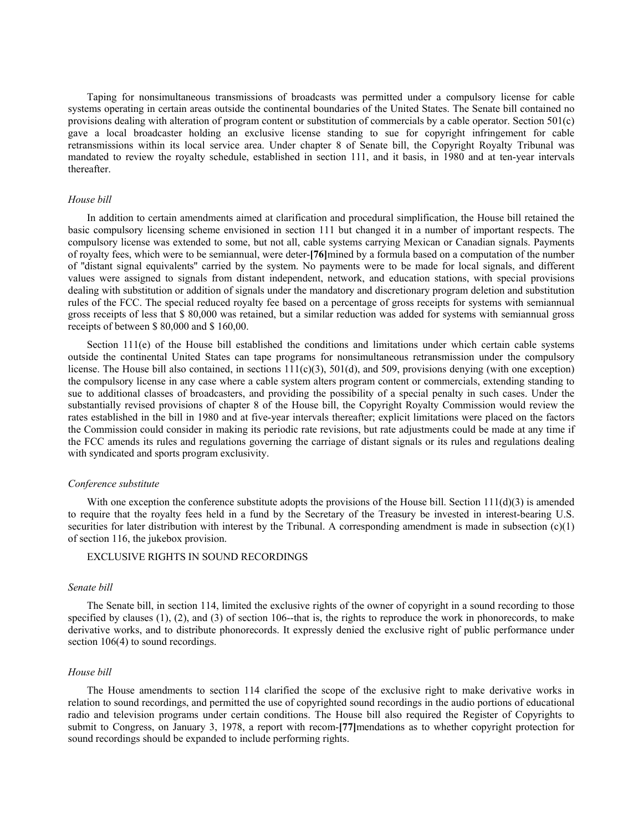Taping for nonsimultaneous transmissions of broadcasts was permitted under a compulsory license for cable systems operating in certain areas outside the continental boundaries of the United States. The Senate bill contained no provisions dealing with alteration of program content or substitution of commercials by a cable operator. Section 501(c) gave a local broadcaster holding an exclusive license standing to sue for copyright infringement for cable retransmissions within its local service area. Under chapter 8 of Senate bill, the Copyright Royalty Tribunal was mandated to review the royalty schedule, established in section 111, and it basis, in 1980 and at ten-year intervals thereafter.

### *House bill*

In addition to certain amendments aimed at clarification and procedural simplification, the House bill retained the basic compulsory licensing scheme envisioned in section 111 but changed it in a number of important respects. The compulsory license was extended to some, but not all, cable systems carrying Mexican or Canadian signals. Payments of royalty fees, which were to be semiannual, were deter-**[76]**mined by a formula based on a computation of the number of ''distant signal equivalents'' carried by the system. No payments were to be made for local signals, and different values were assigned to signals from distant independent, network, and education stations, with special provisions dealing with substitution or addition of signals under the mandatory and discretionary program deletion and substitution rules of the FCC. The special reduced royalty fee based on a percentage of gross receipts for systems with semiannual gross receipts of less that \$ 80,000 was retained, but a similar reduction was added for systems with semiannual gross receipts of between \$ 80,000 and \$ 160,00.

Section 111(e) of the House bill established the conditions and limitations under which certain cable systems outside the continental United States can tape programs for nonsimultaneous retransmission under the compulsory license. The House bill also contained, in sections  $111(c)(3)$ ,  $501(d)$ , and  $509$ , provisions denying (with one exception) the compulsory license in any case where a cable system alters program content or commercials, extending standing to sue to additional classes of broadcasters, and providing the possibility of a special penalty in such cases. Under the substantially revised provisions of chapter 8 of the House bill, the Copyright Royalty Commission would review the rates established in the bill in 1980 and at five-year intervals thereafter; explicit limitations were placed on the factors the Commission could consider in making its periodic rate revisions, but rate adjustments could be made at any time if the FCC amends its rules and regulations governing the carriage of distant signals or its rules and regulations dealing with syndicated and sports program exclusivity.

## *Conference substitute*

With one exception the conference substitute adopts the provisions of the House bill. Section  $111(d)(3)$  is amended to require that the royalty fees held in a fund by the Secretary of the Treasury be invested in interest-bearing U.S. securities for later distribution with interest by the Tribunal. A corresponding amendment is made in subsection  $(c)(1)$ of section 116, the jukebox provision.

## EXCLUSIVE RIGHTS IN SOUND RECORDINGS

# *Senate bill*

The Senate bill, in section 114, limited the exclusive rights of the owner of copyright in a sound recording to those specified by clauses  $(1)$ ,  $(2)$ , and  $(3)$  of section 106--that is, the rights to reproduce the work in phonorecords, to make derivative works, and to distribute phonorecords. It expressly denied the exclusive right of public performance under section 106(4) to sound recordings.

### *House bill*

The House amendments to section 114 clarified the scope of the exclusive right to make derivative works in relation to sound recordings, and permitted the use of copyrighted sound recordings in the audio portions of educational radio and television programs under certain conditions. The House bill also required the Register of Copyrights to submit to Congress, on January 3, 1978, a report with recom-**[77]**mendations as to whether copyright protection for sound recordings should be expanded to include performing rights.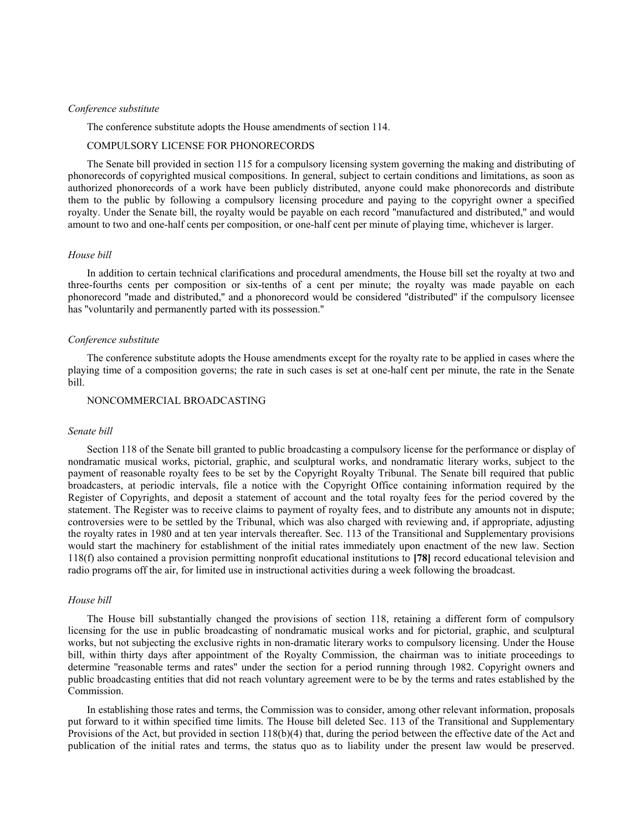# *Conference substitute*

The conference substitute adopts the House amendments of section 114.

# COMPULSORY LICENSE FOR PHONORECORDS

The Senate bill provided in section 115 for a compulsory licensing system governing the making and distributing of phonorecords of copyrighted musical compositions. In general, subject to certain conditions and limitations, as soon as authorized phonorecords of a work have been publicly distributed, anyone could make phonorecords and distribute them to the public by following a compulsory licensing procedure and paying to the copyright owner a specified royalty. Under the Senate bill, the royalty would be payable on each record ''manufactured and distributed,'' and would amount to two and one-half cents per composition, or one-half cent per minute of playing time, whichever is larger.

## *House bill*

In addition to certain technical clarifications and procedural amendments, the House bill set the royalty at two and three-fourths cents per composition or six-tenths of a cent per minute; the royalty was made payable on each phonorecord ''made and distributed,'' and a phonorecord would be considered ''distributed'' if the compulsory licensee has ''voluntarily and permanently parted with its possession.''

## *Conference substitute*

The conference substitute adopts the House amendments except for the royalty rate to be applied in cases where the playing time of a composition governs; the rate in such cases is set at one-half cent per minute, the rate in the Senate bill.

# NONCOMMERCIAL BROADCASTING

#### *Senate bill*

Section 118 of the Senate bill granted to public broadcasting a compulsory license for the performance or display of nondramatic musical works, pictorial, graphic, and sculptural works, and nondramatic literary works, subject to the payment of reasonable royalty fees to be set by the Copyright Royalty Tribunal. The Senate bill required that public broadcasters, at periodic intervals, file a notice with the Copyright Office containing information required by the Register of Copyrights, and deposit a statement of account and the total royalty fees for the period covered by the statement. The Register was to receive claims to payment of royalty fees, and to distribute any amounts not in dispute; controversies were to be settled by the Tribunal, which was also charged with reviewing and, if appropriate, adjusting the royalty rates in 1980 and at ten year intervals thereafter. Sec. 113 of the Transitional and Supplementary provisions would start the machinery for establishment of the initial rates immediately upon enactment of the new law. Section 118(f) also contained a provision permitting nonprofit educational institutions to **[78]** record educational television and radio programs off the air, for limited use in instructional activities during a week following the broadcast.

# *House bill*

The House bill substantially changed the provisions of section 118, retaining a different form of compulsory licensing for the use in public broadcasting of nondramatic musical works and for pictorial, graphic, and sculptural works, but not subjecting the exclusive rights in non-dramatic literary works to compulsory licensing. Under the House bill, within thirty days after appointment of the Royalty Commission, the chairman was to initiate proceedings to determine ''reasonable terms and rates'' under the section for a period running through 1982. Copyright owners and public broadcasting entities that did not reach voluntary agreement were to be by the terms and rates established by the Commission.

In establishing those rates and terms, the Commission was to consider, among other relevant information, proposals put forward to it within specified time limits. The House bill deleted Sec. 113 of the Transitional and Supplementary Provisions of the Act, but provided in section  $118(b)(4)$  that, during the period between the effective date of the Act and publication of the initial rates and terms, the status quo as to liability under the present law would be preserved.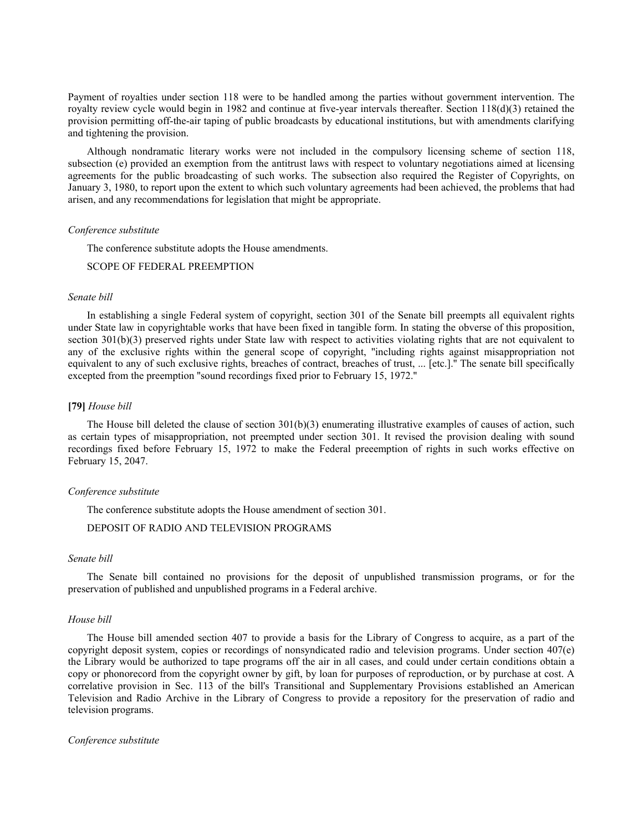Payment of royalties under section 118 were to be handled among the parties without government intervention. The royalty review cycle would begin in 1982 and continue at five-year intervals thereafter. Section 118(d)(3) retained the provision permitting off-the-air taping of public broadcasts by educational institutions, but with amendments clarifying and tightening the provision.

Although nondramatic literary works were not included in the compulsory licensing scheme of section 118, subsection (e) provided an exemption from the antitrust laws with respect to voluntary negotiations aimed at licensing agreements for the public broadcasting of such works. The subsection also required the Register of Copyrights, on January 3, 1980, to report upon the extent to which such voluntary agreements had been achieved, the problems that had arisen, and any recommendations for legislation that might be appropriate.

# *Conference substitute*

The conference substitute adopts the House amendments.

# SCOPE OF FEDERAL PREEMPTION

## *Senate bill*

In establishing a single Federal system of copyright, section 301 of the Senate bill preempts all equivalent rights under State law in copyrightable works that have been fixed in tangible form. In stating the obverse of this proposition, section 301(b)(3) preserved rights under State law with respect to activities violating rights that are not equivalent to any of the exclusive rights within the general scope of copyright, ''including rights against misappropriation not equivalent to any of such exclusive rights, breaches of contract, breaches of trust, ... [etc.].'' The senate bill specifically excepted from the preemption ''sound recordings fixed prior to February 15, 1972.''

## **[79]** *House bill*

The House bill deleted the clause of section  $301(b)(3)$  enumerating illustrative examples of causes of action, such as certain types of misappropriation, not preempted under section 301. It revised the provision dealing with sound recordings fixed before February 15, 1972 to make the Federal preeemption of rights in such works effective on February 15, 2047.

### *Conference substitute*

The conference substitute adopts the House amendment of section 301.

# DEPOSIT OF RADIO AND TELEVISION PROGRAMS

### *Senate bill*

The Senate bill contained no provisions for the deposit of unpublished transmission programs, or for the preservation of published and unpublished programs in a Federal archive.

#### *House bill*

The House bill amended section 407 to provide a basis for the Library of Congress to acquire, as a part of the copyright deposit system, copies or recordings of nonsyndicated radio and television programs. Under section 407(e) the Library would be authorized to tape programs off the air in all cases, and could under certain conditions obtain a copy or phonorecord from the copyright owner by gift, by loan for purposes of reproduction, or by purchase at cost. A correlative provision in Sec. 113 of the bill's Transitional and Supplementary Provisions established an American Television and Radio Archive in the Library of Congress to provide a repository for the preservation of radio and television programs.

#### *Conference substitute*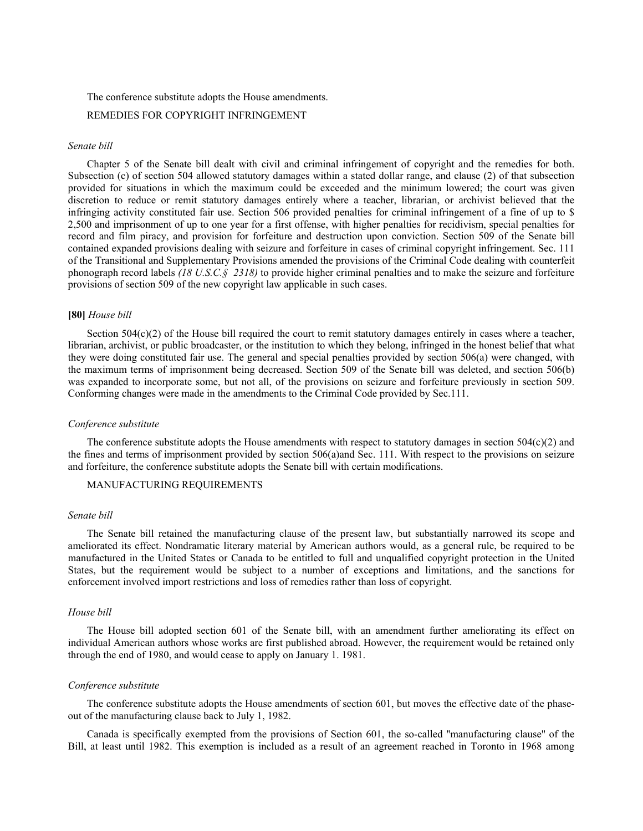## The conference substitute adopts the House amendments.

# REMEDIES FOR COPYRIGHT INFRINGEMENT

# *Senate bill*

Chapter 5 of the Senate bill dealt with civil and criminal infringement of copyright and the remedies for both. Subsection (c) of section 504 allowed statutory damages within a stated dollar range, and clause (2) of that subsection provided for situations in which the maximum could be exceeded and the minimum lowered; the court was given discretion to reduce or remit statutory damages entirely where a teacher, librarian, or archivist believed that the infringing activity constituted fair use. Section 506 provided penalties for criminal infringement of a fine of up to \$ 2,500 and imprisonment of up to one year for a first offense, with higher penalties for recidivism, special penalties for record and film piracy, and provision for forfeiture and destruction upon conviction. Section 509 of the Senate bill contained expanded provisions dealing with seizure and forfeiture in cases of criminal copyright infringement. Sec. 111 of the Transitional and Supplementary Provisions amended the provisions of the Criminal Code dealing with counterfeit phonograph record labels *(18 U.S.C.§ 2318)* to provide higher criminal penalties and to make the seizure and forfeiture provisions of section 509 of the new copyright law applicable in such cases.

## **[80]** *House bill*

Section 504(c)(2) of the House bill required the court to remit statutory damages entirely in cases where a teacher, librarian, archivist, or public broadcaster, or the institution to which they belong, infringed in the honest belief that what they were doing constituted fair use. The general and special penalties provided by section 506(a) were changed, with the maximum terms of imprisonment being decreased. Section 509 of the Senate bill was deleted, and section 506(b) was expanded to incorporate some, but not all, of the provisions on seizure and forfeiture previously in section 509. Conforming changes were made in the amendments to the Criminal Code provided by Sec.111.

## *Conference substitute*

The conference substitute adopts the House amendments with respect to statutory damages in section  $504(c)(2)$  and the fines and terms of imprisonment provided by section 506(a)and Sec. 111. With respect to the provisions on seizure and forfeiture, the conference substitute adopts the Senate bill with certain modifications.

# MANUFACTURING REQUIREMENTS

# *Senate bill*

The Senate bill retained the manufacturing clause of the present law, but substantially narrowed its scope and ameliorated its effect. Nondramatic literary material by American authors would, as a general rule, be required to be manufactured in the United States or Canada to be entitled to full and unqualified copyright protection in the United States, but the requirement would be subject to a number of exceptions and limitations, and the sanctions for enforcement involved import restrictions and loss of remedies rather than loss of copyright.

## *House bill*

The House bill adopted section 601 of the Senate bill, with an amendment further ameliorating its effect on individual American authors whose works are first published abroad. However, the requirement would be retained only through the end of 1980, and would cease to apply on January 1. 1981.

## *Conference substitute*

The conference substitute adopts the House amendments of section 601, but moves the effective date of the phaseout of the manufacturing clause back to July 1, 1982.

Canada is specifically exempted from the provisions of Section 601, the so-called ''manufacturing clause'' of the Bill, at least until 1982. This exemption is included as a result of an agreement reached in Toronto in 1968 among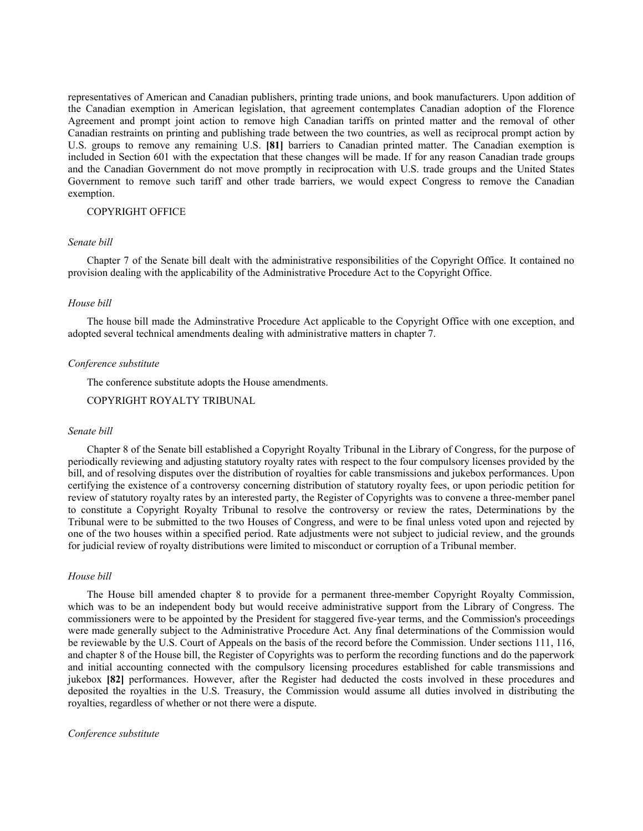representatives of American and Canadian publishers, printing trade unions, and book manufacturers. Upon addition of the Canadian exemption in American legislation, that agreement contemplates Canadian adoption of the Florence Agreement and prompt joint action to remove high Canadian tariffs on printed matter and the removal of other Canadian restraints on printing and publishing trade between the two countries, as well as reciprocal prompt action by U.S. groups to remove any remaining U.S. **[81]** barriers to Canadian printed matter. The Canadian exemption is included in Section 601 with the expectation that these changes will be made. If for any reason Canadian trade groups and the Canadian Government do not move promptly in reciprocation with U.S. trade groups and the United States Government to remove such tariff and other trade barriers, we would expect Congress to remove the Canadian exemption.

# COPYRIGHT OFFICE

# *Senate bill*

Chapter 7 of the Senate bill dealt with the administrative responsibilities of the Copyright Office. It contained no provision dealing with the applicability of the Administrative Procedure Act to the Copyright Office.

#### *House bill*

The house bill made the Adminstrative Procedure Act applicable to the Copyright Office with one exception, and adopted several technical amendments dealing with administrative matters in chapter 7.

### *Conference substitute*

The conference substitute adopts the House amendments.

COPYRIGHT ROYALTY TRIBUNAL

## *Senate bill*

Chapter 8 of the Senate bill established a Copyright Royalty Tribunal in the Library of Congress, for the purpose of periodically reviewing and adjusting statutory royalty rates with respect to the four compulsory licenses provided by the bill, and of resolving disputes over the distribution of royalties for cable transmissions and jukebox performances. Upon certifying the existence of a controversy concerning distribution of statutory royalty fees, or upon periodic petition for review of statutory royalty rates by an interested party, the Register of Copyrights was to convene a three-member panel to constitute a Copyright Royalty Tribunal to resolve the controversy or review the rates, Determinations by the Tribunal were to be submitted to the two Houses of Congress, and were to be final unless voted upon and rejected by one of the two houses within a specified period. Rate adjustments were not subject to judicial review, and the grounds for judicial review of royalty distributions were limited to misconduct or corruption of a Tribunal member.

# *House bill*

The House bill amended chapter 8 to provide for a permanent three-member Copyright Royalty Commission, which was to be an independent body but would receive administrative support from the Library of Congress. The commissioners were to be appointed by the President for staggered five-year terms, and the Commission's proceedings were made generally subject to the Administrative Procedure Act. Any final determinations of the Commission would be reviewable by the U.S. Court of Appeals on the basis of the record before the Commission. Under sections 111, 116, and chapter 8 of the House bill, the Register of Copyrights was to perform the recording functions and do the paperwork and initial accounting connected with the compulsory licensing procedures established for cable transmissions and jukebox **[82]** performances. However, after the Register had deducted the costs involved in these procedures and deposited the royalties in the U.S. Treasury, the Commission would assume all duties involved in distributing the royalties, regardless of whether or not there were a dispute.

## *Conference substitute*